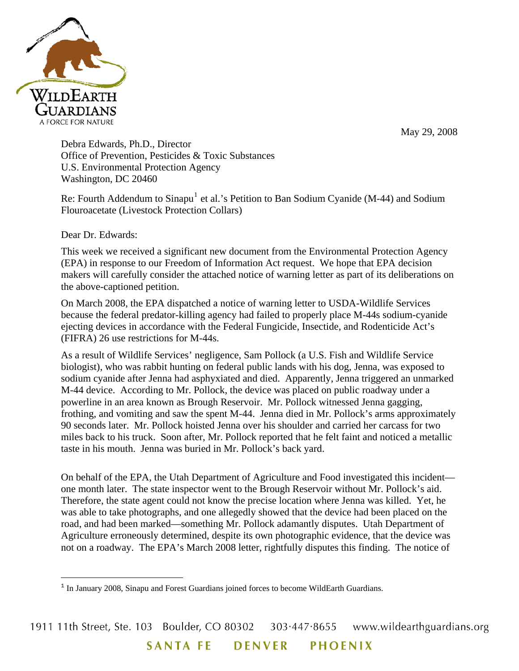

May 29, 2008

Debra Edwards, Ph.D., Director Office of Prevention, Pesticides & Toxic Substances U.S. Environmental Protection Agency Washington, DC 20460

Re: Fourth Addendum to Sinapu<sup>[1](#page-0-0)</sup> et al.'s Petition to Ban Sodium Cyanide (M-44) and Sodium Flouroacetate (Livestock Protection Collars)

Dear Dr. Edwards:

 $\overline{\phantom{0}}$ 

This week we received a significant new document from the Environmental Protection Agency (EPA) in response to our Freedom of Information Act request. We hope that EPA decision makers will carefully consider the attached notice of warning letter as part of its deliberations on the above-captioned petition.

On March 2008, the EPA dispatched a notice of warning letter to USDA-Wildlife Services because the federal predator-killing agency had failed to properly place M-44s sodium-cyanide ejecting devices in accordance with the Federal Fungicide, Insectide, and Rodenticide Act's (FIFRA) 26 use restrictions for M-44s.

As a result of Wildlife Services' negligence, Sam Pollock (a U.S. Fish and Wildlife Service biologist), who was rabbit hunting on federal public lands with his dog, Jenna, was exposed to sodium cyanide after Jenna had asphyxiated and died. Apparently, Jenna triggered an unmarked M-44 device. According to Mr. Pollock, the device was placed on public roadway under a powerline in an area known as Brough Reservoir. Mr. Pollock witnessed Jenna gagging, frothing, and vomiting and saw the spent M-44. Jenna died in Mr. Pollock's arms approximately 90 seconds later. Mr. Pollock hoisted Jenna over his shoulder and carried her carcass for two miles back to his truck. Soon after, Mr. Pollock reported that he felt faint and noticed a metallic taste in his mouth. Jenna was buried in Mr. Pollock's back yard.

On behalf of the EPA, the Utah Department of Agriculture and Food investigated this incident one month later. The state inspector went to the Brough Reservoir without Mr. Pollock's aid. Therefore, the state agent could not know the precise location where Jenna was killed. Yet, he was able to take photographs, and one allegedly showed that the device had been placed on the road, and had been marked—something Mr. Pollock adamantly disputes. Utah Department of Agriculture erroneously determined, despite its own photographic evidence, that the device was not on a roadway. The EPA's March 2008 letter, rightfully disputes this finding. The notice of

<span id="page-0-0"></span><sup>&</sup>lt;sup>1</sup> In January 2008, Sinapu and Forest Guardians joined forces to become WildEarth Guardians.